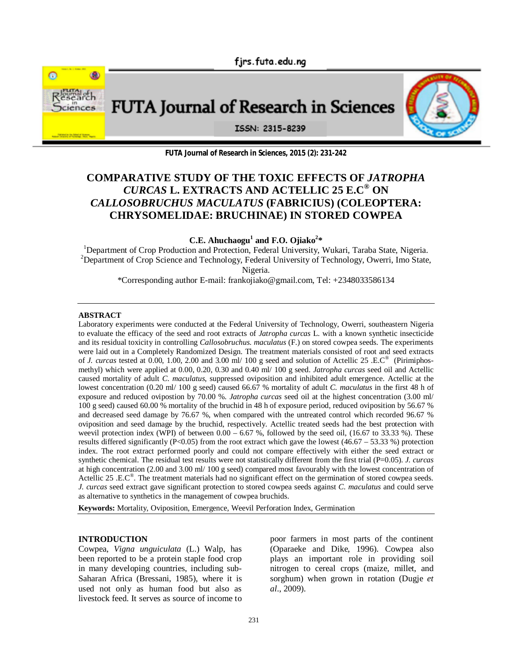fjrs.futa.edu.ng



**FUTA Journal of Research in Sciences, 2015 (2): 231-242**

# **COMPARATIVE STUDY OF THE TOXIC EFFECTS OF** *JATROPHA CURCAS* **L. EXTRACTS AND ACTELLIC 25 E.C® ON**  *CALLOSOBRUCHUS MACULATUS* **(FABRICIUS) (COLEOPTERA: CHRYSOMELIDAE: BRUCHINAE) IN STORED COWPEA**

**C.E. Ahuchaogu<sup>1</sup> and F.O. Ojiako<sup>2</sup> \*** 

<sup>1</sup>Department of Crop Production and Protection, Federal University, Wukari, Taraba State, Nigeria. <sup>2</sup>Department of Crop Science and Technology, Federal University of Technology, Owerri, Imo State, Nigeria.

\*Corresponding author E-mail: frankojiako@gmail.com, Tel: +2348033586134

#### **ABSTRACT**

Laboratory experiments were conducted at the Federal University of Technology, Owerri, southeastern Nigeria to evaluate the efficacy of the seed and root extracts of *Jatropha curcas* L. with a known synthetic insecticide and its residual toxicity in controlling *Callosobruchus. maculatus* (F.) on stored cowpea seeds. The experiments were laid out in a Completely Randomized Design. The treatment materials consisted of root and seed extracts of *J. curcas* tested at 0.00, 1.00, 2.00 and 3.00 ml/ 100 g seed and solution of Actellic 25 .E.C<sup>®</sup> (Pirimiphosmethyl) which were applied at 0.00, 0.20, 0.30 and 0.40 ml/ 100 g seed. *Jatropha curcas* seed oil and Actellic caused mortality of adult *C. maculatus*, suppressed oviposition and inhibited adult emergence. Actellic at the lowest concentration (0.20 ml/ 100 g seed) caused 66.67 % mortality of adult *C. maculatus* in the first 48 h of exposure and reduced ovipostion by 70.00 %. *Jatropha curcas* seed oil at the highest concentration (3.00 ml/ 100 g seed) caused 60.00 % mortality of the bruchid in 48 h of exposure period, reduced oviposition by 56.67 % and decreased seed damage by 76.67 %, when compared with the untreated control which recorded 96.67 % oviposition and seed damage by the bruchid, respectively. Actellic treated seeds had the best protection with weevil protection index (WPI) of between  $0.00 - 6.67$ %, followed by the seed oil,  $(16.67 \text{ to } 33.33 \text{ %})$ . These results differed significantly  $(P<0.05)$  from the root extract which gave the lowest (46.67 – 53.33 %) protection index. The root extract performed poorly and could not compare effectively with either the seed extract or synthetic chemical. The residual test results were not statistically different from the first trial (P=0.05). *J. curcas* at high concentration (2.00 and 3.00 ml/ 100 g seed) compared most favourably with the lowest concentration of Actellic 25 .E.C<sup>®</sup>. The treatment materials had no significant effect on the germination of stored cowpea seeds. *J. curcas* seed extract gave significant protection to stored cowpea seeds against *C. maculatus* and could serve as alternative to synthetics in the management of cowpea bruchids.

**Keywords:** Mortality, Oviposition, Emergence, Weevil Perforation Index, Germination

### **INTRODUCTION**

Cowpea, *Vigna unguiculata* (L.) Walp, has been reported to be a protein staple food crop in many developing countries, including sub-Saharan Africa (Bressani, 1985), where it is used not only as human food but also as livestock feed. It serves as source of income to

poor farmers in most parts of the continent (Oparaeke and Dike, 1996). Cowpea also plays an important role in providing soil nitrogen to cereal crops (maize, millet, and sorghum) when grown in rotation (Dugje *et al*., 2009).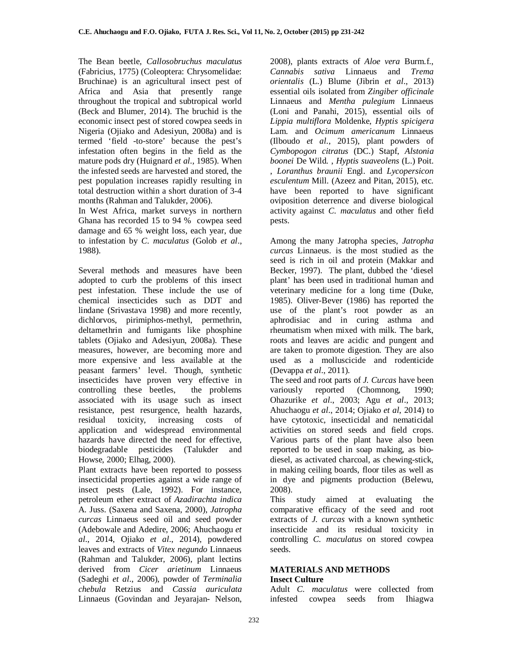The Bean beetle*, Callosobruchus maculatus* (Fabricius, 1775) (Coleoptera: Chrysomelidae: Bruchinae) is an agricultural insect pest of Africa and Asia that presently range throughout the tropical and subtropical world (Beck and Blumer, 2014). The bruchid is the economic insect pest of stored cowpea seeds in Nigeria (Ojiako and Adesiyun, 2008a) and is termed 'field -to-store' because the pest's infestation often begins in the field as the mature pods dry (Huignard *et al.,* 1985). When the infested seeds are harvested and stored, the pest population increases rapidly resulting in total destruction within a short duration of 3-4 months (Rahman and Talukder, 2006).

In West Africa, market surveys in northern Ghana has recorded 15 to 94 % cowpea seed damage and 65 % weight loss, each year, due to infestation by *C*. *maculatus* (Golob *et al*., 1988).

Several methods and measures have been adopted to curb the problems of this insect pest infestation. These include the use of chemical insecticides such as DDT and lindane (Srivastava 1998) and more recently, dichlorvos, pirimiphos-methyl, permethrin, deltamethrin and fumigants like phosphine tablets (Ojiako and Adesiyun, 2008a). These measures, however, are becoming more and more expensive and less available at the peasant farmers' level. Though, synthetic insecticides have proven very effective in controlling these beetles, the problems associated with its usage such as insect resistance, pest resurgence, health hazards, residual toxicity, increasing costs of application and widespread environmental hazards have directed the need for effective, biodegradable pesticides (Talukder and Howse, 2000; Elhag, 2000).

Plant extracts have been reported to possess insecticidal properties against a wide range of insect pests (Lale, 1992). For instance, petroleum ether extract of *Azadirachta indica* A. Juss. (Saxena and Saxena, 2000), *Jatropha curcas* Linnaeus seed oil and seed powder (Adebowale and Adedire, 2006; Ahuchaogu *et al*., 2014, Ojiako *et al*., 2014), powdered leaves and extracts of *Vitex negundo* Linnaeus (Rahman and Talukder, 2006), plant lectins derived from *Cicer arietinum* Linnaeus (Sadeghi *et al*., 2006), powder of *Terminalia chebula* Retzius and *Cassia auriculata* Linnaeus (Govindan and Jeyarajan- Nelson,

2008), plants extracts of *Aloe vera* Burm.f., *Cannabis sativa* Linnaeus and *Trema orientalis* (L.) Blume (Jibrin *et al*., 2013) essential oils isolated from *Zingiber officinale* Linnaeus and *Mentha pulegium* Linnaeus (Loni and Panahi, 2015), essential oils of *Lippia multiflora* Moldenke, *Hyptis spicigera* Lam. and *Ocimum americanum* Linnaeus (Ilboudo *et al*., 2015), plant powders of *Cymbopogon citratus* (DC.) Stapf, *Alstonia boonei* De Wild. , *Hyptis suaveolens* (L.) Poit. , *Loranthus braunii* Engl. and *Lycopersicon esculentum* Mill. (Azeez and Pitan, 2015), etc. have been reported to have significant oviposition deterrence and diverse biological activity against *C. maculatus* and other field pests.

Among the many Jatropha species, *Jatropha curcas* Linnaeus. is the most studied as the seed is rich in oil and protein (Makkar and Becker, 1997). The plant, dubbed the 'diesel plant' has been used in traditional human and veterinary medicine for a long time (Duke, 1985). Oliver-Bever (1986) has reported the use of the plant's root powder as an aphrodisiac and in curing asthma and rheumatism when mixed with milk. The bark, roots and leaves are acidic and pungent and are taken to promote digestion. They are also used as a molluscicide and rodenticide (Devappa *et al*., 2011).

The seed and root parts of *J. Curcas* have been variously reported (Chomnong, 1990; Ohazurike *et al*., 2003; Agu *et al*., 2013; Ahuchaogu *et al*., 2014; Ojiako *et al*, 2014) to have cytotoxic, insecticidal and nematicidal activities on stored seeds and field crops. Various parts of the plant have also been reported to be used in soap making, as biodiesel, as activated charcoal, as chewing-stick, in making ceiling boards, floor tiles as well as in dye and pigments production (Belewu, 2008).

This study aimed at evaluating the comparative efficacy of the seed and root extracts of *J. curcas* with a known synthetic insecticide and its residual toxicity in controlling *C. maculatus* on stored cowpea seeds.

#### **MATERIALS AND METHODS Insect Culture**

Adult *C. maculatus* were collected from infested cowpea seeds from Ihiagwa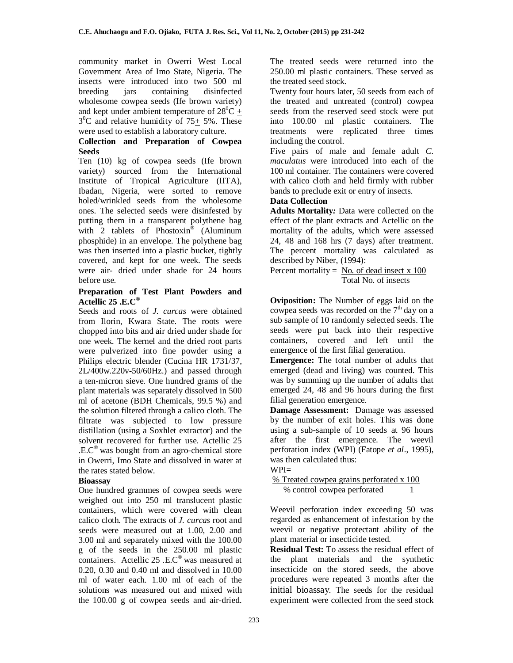community market in Owerri West Local Government Area of Imo State, Nigeria. The insects were introduced into two 500 ml breeding jars containing disinfected wholesome cowpea seeds (Ife brown variety) and kept under ambient temperature of  $28^0C$  +  $3^0$ C and relative humidity of 75 $\pm$  5%. These were used to establish a laboratory culture.

# **Collection and Preparation of Cowpea Seeds**

Ten (10) kg of cowpea seeds (Ife brown variety) sourced from the International Institute of Tropical Agriculture (IITA), Ibadan, Nigeria, were sorted to remove holed/wrinkled seeds from the wholesome ones. The selected seeds were disinfested by putting them in a transparent polythene bag with 2 tablets of Phostoxin*®* (Aluminum phosphide) in an envelope. The polythene bag was then inserted into a plastic bucket, tightly covered, and kept for one week. The seeds were air- dried under shade for 24 hours before use.

### **Preparation of Test Plant Powders and Actellic 25 .E.C®**

Seeds and roots of *J. curcas* were obtained from Ilorin, Kwara State. The roots were chopped into bits and air dried under shade for one week. The kernel and the dried root parts were pulverized into fine powder using a Philips electric blender (Cucina HR 1731/37, 2L/400w.220v-50/60Hz.) and passed through a ten-micron sieve. One hundred grams of the plant materials was separately dissolved in 500 ml of acetone (BDH Chemicals, 99.5 %) and the solution filtered through a calico cloth. The filtrate was subjected to low pressure distillation (using a Soxhlet extractor) and the solvent recovered for further use. Actellic 25 .E.C® was bought from an agro-chemical store in Owerri, Imo State and dissolved in water at the rates stated below.

# **Bioassay**

One hundred grammes of cowpea seeds were weighed out into 250 ml translucent plastic containers, which were covered with clean calico cloth. The extracts of *J. curcas* root and seeds were measured out at 1.00, 2.00 and 3.00 ml and separately mixed with the 100.00 g of the seeds in the 250.00 ml plastic containers. Actellic 25 .E.C® was measured at 0.20, 0.30 and 0.40 ml and dissolved in 10.00 ml of water each. 1.00 ml of each of the solutions was measured out and mixed with the 100.00 g of cowpea seeds and air-dried.

The treated seeds were returned into the 250.00 ml plastic containers. These served as the treated seed stock.

Twenty four hours later, 50 seeds from each of the treated and untreated (control) cowpea seeds from the reserved seed stock were put into 100.00 ml plastic containers. The treatments were replicated three times including the control.

Five pairs of male and female adult *C. maculatus* were introduced into each of the 100 ml container. The containers were covered with calico cloth and held firmly with rubber bands to preclude exit or entry of insects.

# **Data Collection**

**Adults Mortality***:* Data were collected on the effect of the plant extracts and Actellic on the mortality of the adults, which were assessed 24, 48 and 168 hrs (7 days) after treatment. The percent mortality was calculated as described by Niber, (1994):

Percent mortality = No. of dead insect  $x$  100 Total No. of insects

**Oviposition:** The Number of eggs laid on the cowpea seeds was recorded on the  $7<sup>th</sup>$  day on a sub sample of 10 randomly selected seeds. The seeds were put back into their respective containers, covered and left until the emergence of the first filial generation.

**Emergence:** The total number of adults that emerged (dead and living) was counted. This was by summing up the number of adults that emerged 24, 48 and 96 hours during the first filial generation emergence.

**Damage Assessment:** Damage was assessed by the number of exit holes. This was done using a sub-sample of 10 seeds at 96 hours after the first emergence. The weevil perforation index (WPI) (Fatope *et al*., 1995), was then calculated thus:

 $WPI=$ 

% Treated cowpea grains perforated x 100 % control cowpea perforated 1

Weevil perforation index exceeding 50 was regarded as enhancement of infestation by the weevil or negative protectant ability of the plant material or insecticide tested.

**Residual Test:** To assess the residual effect of the plant materials and the synthetic insecticide on the stored seeds, the above procedures were repeated 3 months after the initial bioassay. The seeds for the residual experiment were collected from the seed stock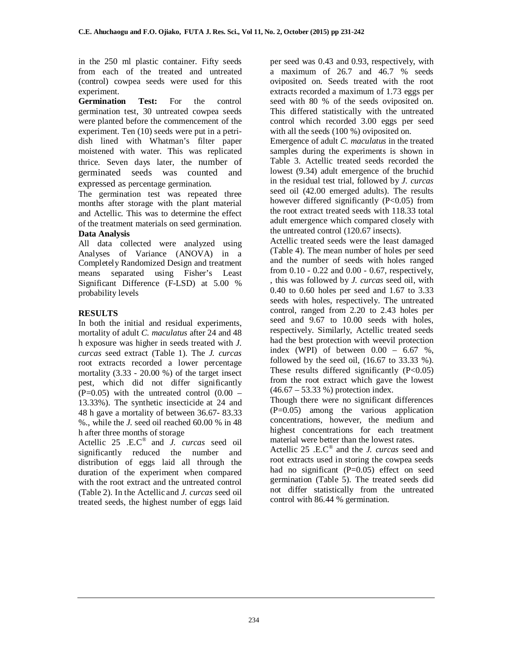in the 250 ml plastic container. Fifty seeds from each of the treated and untreated (control) cowpea seeds were used for this experiment.

**Germination Test:** For the control germination test, 30 untreated cowpea seeds were planted before the commencement of the experiment. Ten (10) seeds were put in a petridish lined with Whatman's filter paper moistened with water. This was replicated thrice. Seven days later, the number of germinated seeds was counted and expressed as percentage germination.

The germination test was repeated three months after storage with the plant material and Actellic. This was to determine the effect of the treatment materials on seed germination. **Data Analysis**

All data collected were analyzed using Analyses of Variance (ANOVA) in a Completely Randomized Design and treatment means separated using Fisher's Least Significant Difference (F-LSD) at 5.00 % probability levels

# **RESULTS**

In both the initial and residual experiments, mortality of adult *C. maculatus* after 24 and 48 h exposure was higher in seeds treated with *J. curcas* seed extract (Table 1). The *J. curcas* root extracts recorded a lower percentage mortality  $(3.33 - 20.00 %)$  of the target insect pest, which did not differ significantly  $(P=0.05)$  with the untreated control  $(0.00 -$ 13.33%). The synthetic insecticide at 24 and 48 h gave a mortality of between 36.67- 83.33 %., while the *J.* seed oil reached 60.00 % in 48 h after three months of storage

Actellic 25 .E.C® and *J. curcas* seed oil significantly reduced the number and distribution of eggs laid all through the duration of the experiment when compared with the root extract and the untreated control (Table 2). In the Actellic and *J. curcas* seed oil treated seeds, the highest number of eggs laid per seed was 0.43 and 0.93, respectively, with a maximum of 26.7 and 46.7 % seeds oviposited on. Seeds treated with the root extracts recorded a maximum of 1.73 eggs per seed with 80 % of the seeds oviposited on. This differed statistically with the untreated control which recorded 3.00 eggs per seed with all the seeds (100 %) oviposited on.

Emergence of adult *C. maculatus* in the treated samples during the experiments is shown in Table 3. Actellic treated seeds recorded the lowest (9.34) adult emergence of the bruchid in the residual test trial, followed by *J. curcas* seed oil (42.00 emerged adults). The results however differed significantly (P<0.05) from the root extract treated seeds with 118.33 total adult emergence which compared closely with the untreated control (120.67 insects).

Actellic treated seeds were the least damaged (Table 4). The mean number of holes per seed and the number of seeds with holes ranged from 0.10 - 0.22 and 0.00 - 0.67, respectively, , this was followed by *J. curcas* seed oil, with 0.40 to 0.60 holes per seed and 1.67 to 3.33 seeds with holes, respectively. The untreated control, ranged from 2.20 to 2.43 holes per seed and 9.67 to 10.00 seeds with holes, respectively. Similarly, Actellic treated seeds had the best protection with weevil protection index (WPI) of between  $0.00 - 6.67$  %, followed by the seed oil, (16.67 to 33.33 %). These results differed significantly  $(P<0.05)$ from the root extract which gave the lowest (46.67 – 53.33 %) protection index.

Though there were no significant differences (P=0.05) among the various application concentrations, however, the medium and highest concentrations for each treatment material were better than the lowest rates.

Actellic 25 .E.C® and the *J. curcas* seed and root extracts used in storing the cowpea seeds had no significant (P=0.05) effect on seed germination (Table 5). The treated seeds did not differ statistically from the untreated control with 86.44 % germination.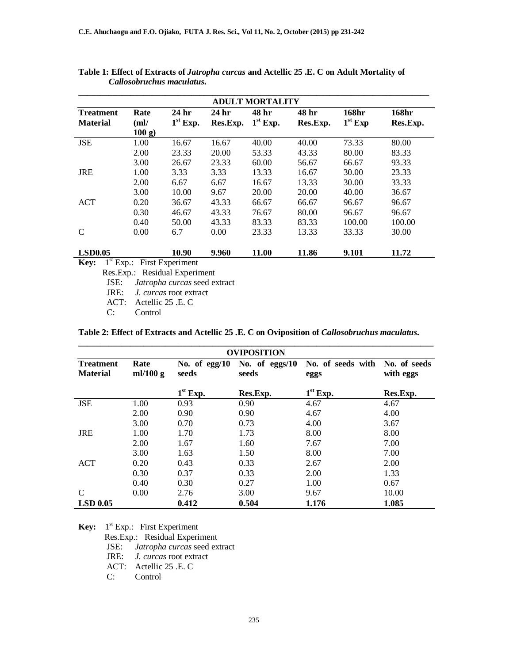|                                     |                       |                     |                   | <b>ADULT MORTALITY</b> |                   |                    |                   |
|-------------------------------------|-----------------------|---------------------|-------------------|------------------------|-------------------|--------------------|-------------------|
| <b>Treatment</b><br><b>Material</b> | Rate<br>(ml)<br>100 g | 24 hr<br>$1st$ Exp. | 24 hr<br>Res.Exp. | 48 hr<br>$1st$ Exp.    | 48 hr<br>Res.Exp. | 168hr<br>$1st$ Exp | 168hr<br>Res.Exp. |
| <b>JSE</b>                          | 1.00                  | 16.67               | 16.67             | 40.00                  | 40.00             | 73.33              | 80.00             |
|                                     | 2.00                  | 23.33               | 20.00             | 53.33                  | 43.33             | 80.00              | 83.33             |
|                                     | 3.00                  | 26.67               | 23.33             | 60.00                  | 56.67             | 66.67              | 93.33             |
| <b>JRE</b>                          | 1.00                  | 3.33                | 3.33              | 13.33                  | 16.67             | 30.00              | 23.33             |
|                                     | 2.00                  | 6.67                | 6.67              | 16.67                  | 13.33             | 30.00              | 33.33             |
|                                     | 3.00                  | 10.00               | 9.67              | 20.00                  | 20.00             | 40.00              | 36.67             |
| <b>ACT</b>                          | 0.20                  | 36.67               | 43.33             | 66.67                  | 66.67             | 96.67              | 96.67             |
|                                     | 0.30                  | 46.67               | 43.33             | 76.67                  | 80.00             | 96.67              | 96.67             |
|                                     | 0.40                  | 50.00               | 43.33             | 83.33                  | 83.33             | 100.00             | 100.00            |
| C                                   | 0.00                  | 6.7                 | 0.00              | 23.33                  | 13.33             | 33.33              | 30.00             |
| <b>LSD0.05</b>                      |                       | 10.90               | 9.960             | 11.00                  | 11.86             | 9.101              | 11.72             |

**Table 1: Effect of Extracts of** *Jatropha curcas* **and Actellic 25 .E. C on Adult Mortality of**  *Callosobruchus maculatus***.**

Res.Exp.: Residual Experiment<br>JSE: *Jatropha curcas* seed ex-

Jatropha curcas seed extract

JRE: *J. curcas* root extract

ACT: Actellic 25 .E. C

C: Control

**Table 2: Effect of Extracts and Actellic 25 .E. C on Oviposition of** *Callosobruchus maculatus***.**

|                                     |                    |                          | <b>OVIPOSITION</b>      |                           |                           |
|-------------------------------------|--------------------|--------------------------|-------------------------|---------------------------|---------------------------|
| <b>Treatment</b><br><b>Material</b> | Rate<br>ml/100 $g$ | No. of $egg/10$<br>seeds | No. of eggs/10<br>seeds | No. of seeds with<br>eggs | No. of seeds<br>with eggs |
|                                     |                    | $1st$ Exp.               | Res.Exp.                | $1st$ Exp.                | Res.Exp.                  |
| <b>JSE</b>                          | 1.00               | 0.93                     | 0.90                    | 4.67                      | 4.67                      |
|                                     | 2.00               | 0.90                     | 0.90                    | 4.67                      | 4.00                      |
|                                     | 3.00               | 0.70                     | 0.73                    | 4.00                      | 3.67                      |
| <b>JRE</b>                          | 1.00               | 1.70                     | 1.73                    | 8.00                      | 8.00                      |
|                                     | 2.00               | 1.67                     | 1.60                    | 7.67                      | 7.00                      |
|                                     | 3.00               | 1.63                     | 1.50                    | 8.00                      | 7.00                      |
| <b>ACT</b>                          | 0.20               | 0.43                     | 0.33                    | 2.67                      | 2.00                      |
|                                     | 0.30               | 0.37                     | 0.33                    | 2.00                      | 1.33                      |
|                                     | 0.40               | 0.30                     | 0.27                    | 1.00                      | 0.67                      |
| C                                   | 0.00               | 2.76                     | 3.00                    | 9.67                      | 10.00                     |
| <b>LSD 0.05</b>                     |                    | 0.412                    | 0.504                   | 1.176                     | 1.085                     |

**Key:** 1<sup>st</sup> Exp.: First Experiment Res.Exp.: Residual Experiment JSE: *Jatropha curcas* seed extract JRE: *J. curcas* root extract ACT: Actellic 25 .E. C C: Control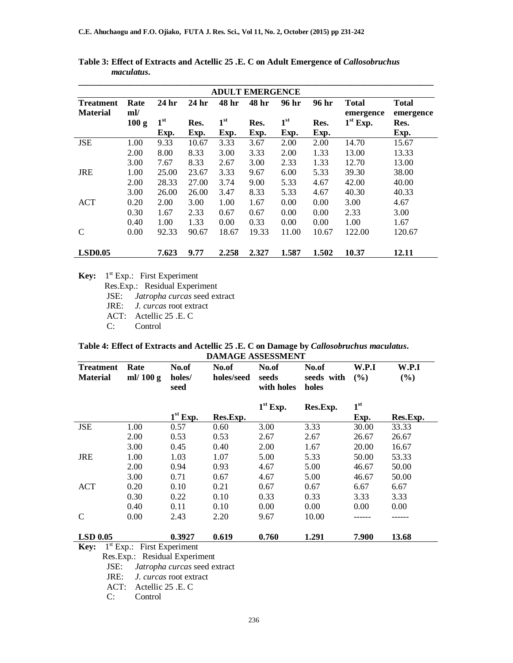|                                     |             |                  |                  |              | <b>ADULT EMERGENCE</b> |                 |       |                           |                           |
|-------------------------------------|-------------|------------------|------------------|--------------|------------------------|-----------------|-------|---------------------------|---------------------------|
| <b>Treatment</b><br><b>Material</b> | Rate<br>ml/ | 24 <sub>hr</sub> | 24 <sub>hr</sub> | 48 hr        | 48 hr                  | 96 hr           | 96 hr | <b>Total</b><br>emergence | <b>Total</b><br>emergence |
|                                     | 100 g       | 1 <sup>st</sup>  | Res.             | $1^{\rm st}$ | Res.                   | 1 <sup>st</sup> | Res.  | $1st$ Exp.                | Res.                      |
|                                     |             | Exp.             | Exp.             | Exp.         | Exp.                   | Exp.            | Exp.  |                           | Exp.                      |
| <b>JSE</b>                          | 1.00        | 9.33             | 10.67            | 3.33         | 3.67                   | 2.00            | 2.00  | 14.70                     | 15.67                     |
|                                     | 2.00        | 8.00             | 8.33             | 3.00         | 3.33                   | 2.00            | 1.33  | 13.00                     | 13.33                     |
|                                     | 3.00        | 7.67             | 8.33             | 2.67         | 3.00                   | 2.33            | 1.33  | 12.70                     | 13.00                     |
| <b>JRE</b>                          | 1.00        | 25.00            | 23.67            | 3.33         | 9.67                   | 6.00            | 5.33  | 39.30                     | 38.00                     |
|                                     | 2.00        | 28.33            | 27.00            | 3.74         | 9.00                   | 5.33            | 4.67  | 42.00                     | 40.00                     |
|                                     | 3.00        | 26.00            | 26.00            | 3.47         | 8.33                   | 5.33            | 4.67  | 40.30                     | 40.33                     |
| <b>ACT</b>                          | 0.20        | 2.00             | 3.00             | 1.00         | 1.67                   | 0.00            | 0.00  | 3.00                      | 4.67                      |
|                                     | 0.30        | 1.67             | 2.33             | 0.67         | 0.67                   | 0.00            | 0.00  | 2.33                      | 3.00                      |
|                                     | 0.40        | 1.00             | 1.33             | 0.00         | 0.33                   | 0.00            | 0.00  | 1.00                      | 1.67                      |
| C                                   | 0.00        | 92.33            | 90.67            | 18.67        | 19.33                  | 11.00           | 10.67 | 122.00                    | 120.67                    |
| <b>LSD0.05</b>                      |             | 7.623            | 9.77             | 2.258        | 2.327                  | 1.587           | 1.502 | 10.37                     | 12.11                     |

**Table 3: Effect of Extracts and Actellic 25 .E. C on Adult Emergence of** *Callosobruchus maculatus***.**

**Key:** 1<sup>st</sup> Exp.: First Experiment

Res.Exp.: Residual Experiment<br>JSE: *Jatropha curcas* seed ex-

JSE: *Jatropha curcas* seed extract

J. curcas root extract

ACT: Actellic 25 .E. C<br>C: Control

Control

#### **Table 4: Effect of Extracts and Actellic 25 .E. C on Damage by** *Callosobruchus maculatus***. DAMAGE ASSESSMENT**

| <b>Treatment</b><br><b>Material</b> | Rate<br>ml/ $100 g$ | No.of<br>holes/<br>seed | No.of<br>holes/seed | No.of<br>seeds<br>with holes | No.of<br>seeds with<br>holes | W.P.I<br>(9/0)  | W.P.I<br>(%) |
|-------------------------------------|---------------------|-------------------------|---------------------|------------------------------|------------------------------|-----------------|--------------|
|                                     |                     |                         |                     | $1st$ Exp.                   | Res.Exp.                     | 1 <sup>st</sup> |              |
|                                     |                     | $1st$ Exp.              | Res.Exp.            |                              |                              | Exp.            | Res.Exp.     |
| <b>JSE</b>                          | 1.00                | 0.57                    | 0.60                | 3.00                         | 3.33                         | 30.00           | 33.33        |
|                                     | 2.00                | 0.53                    | 0.53                | 2.67                         | 2.67                         | 26.67           | 26.67        |
|                                     | 3.00                | 0.45                    | 0.40                | 2.00                         | 1.67                         | 20.00           | 16.67        |
| <b>JRE</b>                          | 1.00                | 1.03                    | 1.07                | 5.00                         | 5.33                         | 50.00           | 53.33        |
|                                     | 2.00                | 0.94                    | 0.93                | 4.67                         | 5.00                         | 46.67           | 50.00        |
|                                     | 3.00                | 0.71                    | 0.67                | 4.67                         | 5.00                         | 46.67           | 50.00        |
| <b>ACT</b>                          | 0.20                | 0.10                    | 0.21                | 0.67                         | 0.67                         | 6.67            | 6.67         |
|                                     | 0.30                | 0.22                    | 0.10                | 0.33                         | 0.33                         | 3.33            | 3.33         |
|                                     | 0.40                | 0.11                    | 0.10                | 0.00                         | 0.00                         | 0.00            | 0.00         |
| C                                   | 0.00                | 2.43                    | 2.20                | 9.67                         | 10.00                        |                 |              |
| <b>LSD 0.05</b>                     |                     | 0.3927                  | 0.619               | 0.760                        | 1.291                        | 7.900           | 13.68        |

**Key:** 1<sup>st</sup> Exp.: First Experiment

Res.Exp.: Residual Experiment<br>JSE: *Jatropha curcas* seed ex

JSE: *Jatropha curcas* seed extract

J. curcas root extract

ACT: Actellic 25 .E. C

C: Control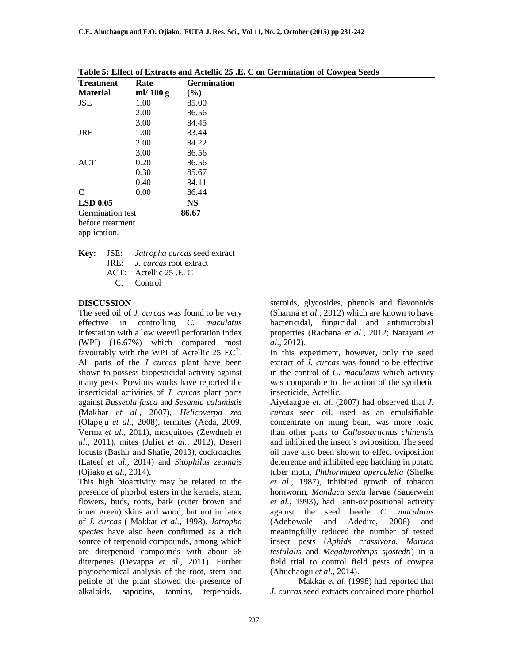| <b>Treatment</b> | Rate        | <b>Germination</b> |
|------------------|-------------|--------------------|
| <b>Material</b>  | ml/ $100 g$ | $(\%)$             |
| <b>JSE</b>       | 1.00        | 85.00              |
|                  | 2.00        | 86.56              |
|                  | 3.00        | 84.45              |
| <b>JRE</b>       | 1.00        | 83.44              |
|                  | 2.00        | 84.22              |
|                  | 3.00        | 86.56              |
| <b>ACT</b>       | 0.20        | 86.56              |
|                  | 0.30        | 85.67              |
|                  | 0.40        | 84.11              |
| C                | 0.00        | 86.44              |
| <b>LSD 0.05</b>  |             | <b>NS</b>          |
| Germination test |             | 86.67              |
| before treatment |             |                    |
| application.     |             |                    |

**Table 5: Effect of Extracts and Actellic 25 .E. C on Germination of Cowpea Seeds**

**Key:** JSE: *Jatropha curcas* seed extract JRE: *J. curcas* root extract ACT: Actellic 25 .E. C

C: Control

### **DISCUSSION**

The seed oil of *J. curcas* was found to be very effective in controlling *C. maculatus* infestation with a low weevil perforation index (WPI) (16.67%) which compared most favourably with the WPI of Actellic 25  $EC^{\circ}$ . All parts of the *J curcas* plant have been shown to possess biopesticidal activity against many pests. Previous works have reported the insecticidal activities of *J. curcas* plant parts against *Busseola fusca* and *Sesamia calamistis* (Makhar *et al*., 2007), *Helicoverpa zea* (Olapeju *et al*., 2008), termites (Acda, 2009, Verma *et al*., 2011), mosquitoes (Zewdneh *et al*., 2011), mites (Juliet *et al.,* 2012), Desert locusts (Bashir and Shafie, 2013), cockroaches (Lateef *et al.,* 2014) and *Sitophilus zeamais* (Ojiako *et al*., 2014),

This high bioactivity may be related to the presence of phorbol esters in the kernels, stem, flowers, buds, roots, bark (outer brown and inner green) skins and wood, but not in latex of *J. curcas* ( Makkar *et al.,* 1998). *Jatropha species* have also been confirmed as a rich source of terpenoid compounds, among which are diterpenoid compounds with about 68 diterpenes (Devappa *et al*., 2011). Further phytochemical analysis of the root, stem and petiole of the plant showed the presence of alkaloids, saponins, tannins, terpenoids,

steroids, glycosides, phenols and flavonoids (Sharma *et al*., 2012) which are known to have bactericidal, fungicidal and antimicrobial properties (Rachana *et al*., 2012; Narayani *et al*., 2012).

In this experiment, however, only the seed extract of *J. curcas* was found to be effective in the control of *C*. *maculatus* which activity was comparable to the action of the synthetic insecticide, Actellic.

Aiyelaagbe *et. al*. (2007) had observed that *J. curcas* seed oil, used as an emulsifiable concentrate on mung bean, was more toxic than other parts to *Callosobruchus chinensis* and inhibited the insect's oviposition. The seed oil have also been shown to effect oviposition deterrence and inhibited egg hatching in potato tuber moth, *Phthorimaea operculella* (Shelke *et al.*, 1987), inhibited growth of tobacco hornworm, *Manduca sexta* larvae (Sauerwein *et al.,* 1993), had anti-ovipositional activity against the seed beetle *C. maculatus* (Adebowale and Adedire, 2006) and meaningfully reduced the number of tested insect pests (*Aphids crassivora, Maruca testulalis* and *Megalurothrips sjostedti*) in a field trial to control field pests of cowpea (Ahuchaogu *et al*., 2014).

Makkar *et al*. (1998) had reported that *J. curcas* seed extracts contained more phorbol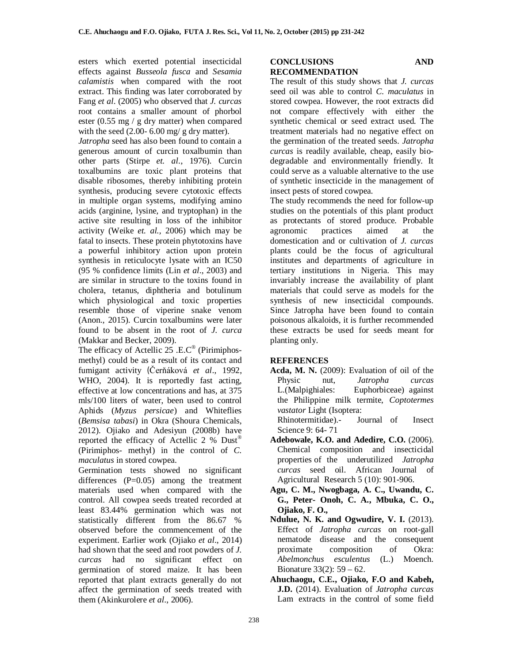esters which exerted potential insecticidal effects against *Busseola fusca* and *Sesamia calamistis* when compared with the root extract. This finding was later corroborated by Fang *et al*. (2005) who observed that *J. curcas* root contains a smaller amount of phorbol ester (0.55 mg / g dry matter) when compared with the seed  $(2.00 - 6.00)$  mg/ g dry matter).

*Jatropha* seed has also been found to contain a generous amount of curcin toxalbumin than other parts (Stirpe *et. al*., 1976). Curcin toxalbumins are toxic plant proteins that disable ribosomes, thereby inhibiting protein synthesis, producing severe cytotoxic effects in multiple organ systems, modifying amino acids (arginine, lysine, and tryptophan) in the active site resulting in loss of the inhibitor activity (Weike *et. al.,* 2006) which may be fatal to insects. These protein phytotoxins have a powerful inhibitory action upon protein synthesis in reticulocyte lysate with an IC50 (95 % confidence limits (Lin *et al*., 2003) and are similar in structure to the toxins found in cholera, tetanus, diphtheria and botulinum which physiological and toxic properties resemble those of viperine snake venom (Anon., 2015). Curcin toxalbumins were later found to be absent in the root of *J. curca* (Makkar and Becker, 2009).

The efficacy of Actellic 25 .E.C<sup>®</sup> (Pirimiphosmethyl) could be as a result of its contact and fumigant activity (Čerňáková *et al*., 1992, WHO, 2004). It is reportedly fast acting, effective at low concentrations and has, at 375 mls/100 liters of water, been used to control Aphids (*Myzus persicae*) and Whiteflies (*Bemsisa tabasi*) in Okra (Shoura Chemicals, 2012). Ojiako and Adesiyun (2008b) have reported the efficacy of Actellic 2 % Dust® (Pirimiphos- methyl) in the control of *C. maculatus* in stored cowpea.

Germination tests showed no significant differences  $(P=0.05)$  among the treatment materials used when compared with the control. All cowpea seeds treated recorded at least 83.44% germination which was not statistically different from the 86.67 % observed before the commencement of the experiment. Earlier work (Ojiako *et al*., 2014) had shown that the seed and root powders of *J. curcas* had no significant effect on germination of stored maize. It has been reported that plant extracts generally do not affect the germination of seeds treated with them (Akinkurolere *et al*., 2006).

#### **CONCLUSIONS AND RECOMMENDATION**

The result of this study shows that *J. curcas* seed oil was able to control *C. maculatus* in stored cowpea. However, the root extracts did not compare effectively with either the synthetic chemical or seed extract used. The treatment materials had no negative effect on the germination of the treated seeds. *Jatropha curcas* is readily available, cheap, easily biodegradable and environmentally friendly. It could serve as a valuable alternative to the use of synthetic insecticide in the management of insect pests of stored cowpea.

The study recommends the need for follow-up studies on the potentials of this plant product as protectants of stored produce. Probable agronomic practices aimed at the domestication and or cultivation of *J. curcas*  plants could be the focus of agricultural institutes and departments of agriculture in tertiary institutions in Nigeria. This may invariably increase the availability of plant materials that could serve as models for the synthesis of new insecticidal compounds. Since Jatropha have been found to contain poisonous alkaloids, it is further recommended these extracts be used for seeds meant for planting only.

### **REFERENCES**

**Acda, M. N.** (2009): Evaluation of oil of the Physic nut, *Jatropha curcas* L.(Malpighiales: Euphorbiceae) against the Philippine milk termite, *Coptotermes vastator* Light (Isoptera:<br>Rhinotermitidae).- Journal of

 Rhinotermitidae).- Journal of Insect Science 9: 64- 71

- **Adebowale, K.O. and Adedire, C.O.** (2006). Chemical composition and insecticidal properties of the underutilized *Jatropha curcas* seed oil. African Journal of Agricultural Research 5 (10): 901-906.
- **Agu, C. M., Nwogbaga, A. C., Uwandu, C. G., Peter- Onoh, C. A., Mbuka, C. O., Ojiako, F. O.,**
- **Ndulue, N. K. and Ogwudire, V. I.** (2013). Effect of *Jatropha curcas* on root-gall nematode disease and the consequent<br>proximate composition of Okra: proximate composition of Okra: *Abelmonchus esculentus* (L.) Moench. Bionature 33(2): 59 – 62.
- **Ahuchaogu, C.E., Ojiako, F.O and Kabeh, J.D.** (2014). Evaluation of *Jatropha curcas*  Lam extracts in the control of some field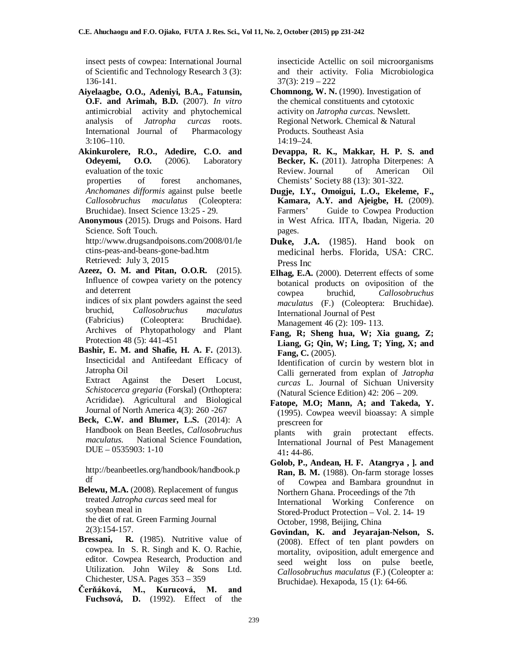insect pests of cowpea: International Journal of Scientific and Technology Research 3 (3): 136-141.

- **Aiyelaagbe, O.O., Adeniyi, B.A., Fatunsin, O.F. and Arimah, B.D.** (2007). *In vitro* antimicrobial activity and phytochemical analysis of *Jatropha curcas* roots. International Journal of Pharmacology 3:106–110.
- **Akinkurolere, R.O., Adedire, C.O. and Odeyemi, O.O.** (2006). Laboratory evaluation of the toxic properties of forest anchomanes, *Anchomanes difformis* against pulse beetle *Callosobruchus maculatus* (Coleoptera: Bruchidae). Insect Science 13:25 - 29.
- **Anonymous** (2015). Drugs and Poisons. Hard Science. Soft Touch. http://www.drugsandpoisons.com/2008/01/le ctins-peas-and-beans-gone-bad.htm Retrieved: July 3, 2015
- **Azeez, O. M. and Pitan, O.O.R.** (2015). Influence of cowpea variety on the potency and deterrent indices of six plant powders against the seed bruchid, *Callosobruchus maculatus* (Fabricius) (Coleoptera: Bruchidae). Archives of Phytopathology and Plant
- Protection 48 (5): 441-451 **Bashir, E. M. and Shafie, H. A. F.** (2013). Insecticidal and Antifeedant Efficacy of Jatropha Oil
	- Extract Against the Desert Locust, *Schistocerca gregaria* (Forskal) (Orthoptera: Acrididae). Agricultural and Biological Journal of North America 4(3): 260 -267
- **Beck, C.W. and Blumer, L.S.** (2014): A Handbook on Bean Beetles, *Callosobruchus maculatus*. National Science Foundation, DUE – 0535903: 1-10

http://beanbeetles.org/handbook/handbook.p df

**Belewu, M.A.** (2008). Replacement of fungus treated *Jatropha curcas* seed meal for soybean meal in the diet of rat. Green Farming Journal 2(3):154-157.

- Bressani, R. (1985). Nutritive value of cowpea. In S. R. Singh and K. O. Rachie, editor. Cowpea Research, Production and Utilization. John Wiley & Sons Ltd. Chichester, USA. Pages 353 – 359
- **Čerňáková, M., Kurucová, M. and Fuchsová, D.** (1992). Effect of the

insecticide Actellic on soil microorganisms and their activity. Folia Microbiologica 37(3): 219 – 222

- **Chomnong, W. N.** (1990). Investigation of the chemical constituents and cytotoxic activity on *Jatropha curcas*. Newslett. Regional Network. Chemical & Natural Products. Southeast Asia 14:19–24.
- **Devappa, R. K., Makkar, H. P. S. and Becker, K.** (2011). Jatropha Diterpenes: A Review. Journal of American Oil Chemists' Society 88 (13): 301-322.
- **Dugje, I.Y., Omoigui, L.O., Ekeleme, F., Kamara, A.Y. and Ajeigbe, H.** (2009). Farmers' Guide to Cowpea Production in West Africa. IITA, Ibadan, Nigeria. 20 pages.
- **Duke, J.A.** (1985). Hand book on medicinal herbs. Florida, USA: CRC. Press Inc
- **Elhag, E.A.** (2000). Deterrent effects of some botanical products on oviposition of the cowpea bruchid, *Callosobruchus maculatus* (F.) (Coleoptera: Bruchidae). International Journal of Pest Management 46 (2): 109- 113.
- **Fang, R; Sheng hua, W; Xia guang, Z; Liang, G; Qin, W; Ling, T; Ying, X; and Fang, C.** (2005). Identification of curcin by western blot in Calli gernerated from explan of *Jatropha curcas* L. Journal of Sichuan University (Natural Science Edition) 42: 206 – 209.
- **Fatope, M.O; Mann, A; and Takeda, Y.** (1995). Cowpea weevil bioassay: A simple prescreen for<br>plants with

grain protectant effects. International Journal of Pest Management 41**:** 44-86.

- **Golob, P., Andean, H. F. Atangrya , ]. and Ran, B. M.** (1988). On-farm storage losses of Cowpea and Bambara groundnut in Northern Ghana. Proceedings of the 7th International Working Conference on Stored-Product Protection – Vol. 2. 14- 19 October, 1998, Beijing, China
- **Govindan, K. and Jeyarajan-Nelson, S.** (2008). Effect of ten plant powders on mortality, oviposition, adult emergence and seed weight loss on pulse beetle, *Callosobruchus maculatus* (F.) (Coleopter a: Bruchidae). Hexapoda*,* 15 (1): 64-66.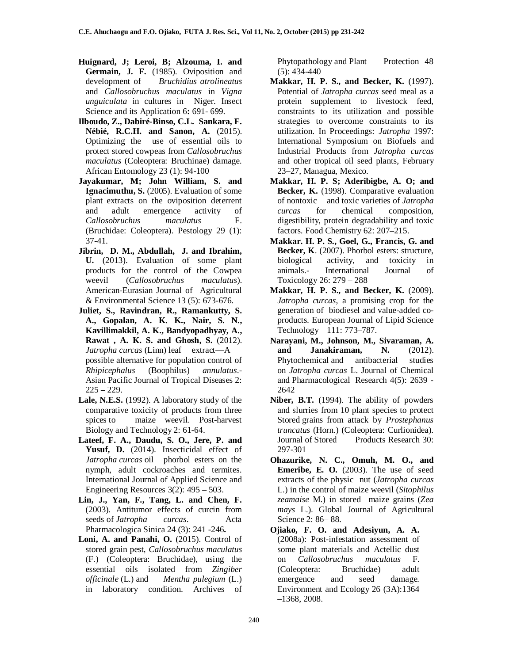- **Huignard, J; Leroi, B; Alzouma, I. and Germain, J. F.** (1985). Oviposition and development of *Bruchidius atrolineatus*  and *Callosobruchus maculatus* in *Vigna unguiculata* in cultures in Niger. Insect Science and its Application 6**:** 691- 699.
- **Ilboudo, Z., Dabiré-Binso, C.L. Sankara, F. Nébié, R.C.H. and Sanon, A.** (2015). Optimizing the use of essential oils to protect stored cowpeas from *Callosobruchus maculatus* (Coleoptera: Bruchinae) damage. African Entomology 23 (1): 94-100
- **Jayakumar, M; John William, S. and Ignacimuthu, S.** (2005). Evaluation of some plant extracts on the oviposition deterrent and adult emergence activity of *Callosobruchus maculatus* F. (Bruchidae: Coleoptera). Pestology 29 (1): 37-41.
- **Jibrin, D. M., Abdullah, J. and Ibrahim, U.** (2013). Evaluation of some plant products for the control of the Cowpea weevil (*Callosobruchus maculatus*). American-Eurasian Journal of Agricultural & Environmental Science 13 (5): 673-676.
- **Juliet, S., Ravindran, R., Ramankutty, S. A., Gopalan, A. K. K., Nair, S. N., Kavillimakkil, A. K., Bandyopadhyay, A., Rawat , A. K. S. and Ghosh, S.** (2012). *Jatropha curcas* (Linn) leaf extract—A possible alternative for population control of *Rhipicephalus* (Boophilus) *annulatus*.- Asian Pacific Journal of Tropical Diseases 2:  $225 - 229$ .
- **Lale, N.E.S.** (1992). A laboratory study of the comparative toxicity of products from three spices to maize weevil. Post-harvest Biology and Technology 2: 61-64.
- **Lateef, F. A., Daudu, S. O., Jere, P. and**  Yusuf, D. (2014). Insecticidal effect of *Jatropha curcas* oil phorbol esters on the nymph, adult cockroaches and termites. International Journal of Applied Science and Engineering Resources 3(2): 495 – 503.
- **Lin, J., Yan, F., Tang, L. and Chen, F.**  (2003). Antitumor effects of curcin from seeds of *Jatropha curcas*. Acta Pharmacologica Sinica 24 (3): 241 -246**.**
- **Loni, A. and Panahi, O.** (2015). Control of stored grain pest, *Callosobruchus maculatus*  (F.) (Coleoptera: Bruchidae), using the essential oils isolated from *Zingiber officinale* (L.) and *Mentha pulegium* (L.) in laboratory condition. Archives of

Phytopathology and Plant Protection 48  $(5): 434-440$ 

- **Makkar, H. P. S., and Becker, K.** (1997). Potential of *Jatropha curcas* seed meal as a protein supplement to livestock feed, constraints to its utilization and possible strategies to overcome constraints to its utilization. In Proceedings: *Jatropha* 1997: International Symposium on Biofuels and Industrial Products from *Jatropha curcas* and other tropical oil seed plants, February 23–27, Managua, Mexico.
- **Makkar, H. P. S; Aderibigbe, A. O; and**  Becker, K. (1998). Comparative evaluation of nontoxic and toxic varieties of *Jatropha curcas* for chemical composition, digestibility, protein degradability and toxic factors. Food Chemistry 62: 207–215.
- **Makkar. H. P. S., Goel, G., Francis, G. and Becker, K**. (2007). Phorbol esters: structure, biological activity, and toxicity in animals.- International Journal of Toxicology 26: 279 – 288
- **Makkar, H. P. S., and Becker, K.** (2009). *Jatropha curcas*, a promising crop for the generation of biodiesel and value-added coproducts. European Journal of Lipid Science Technology 111: 773–787.
- **Narayani, M., Johnson, M., Sivaraman, A. Janakiraman, N.** (2012). Phytochemical and antibacterial studies on *Jatropha curcas* L. Journal of Chemical and Pharmacological Research 4(5): 2639 - 2642
- **Niber, B.T.** (1994). The ability of powders and slurries from 10 plant species to protect Stored grains from attack by *Prostephanus truncatus* (Horn.) (Coleoptera: Curlionidea). Journal of Stored Products Research 30: 297-301
- **Ohazurike, N. C., Omuh, M. O., and Emeribe, E. O.** (2003). The use of seed extracts of the physic nut (*Jatropha curcas* L.) in the control of maize weevil (*Sitophilus zeamaise* M.) in stored maize grains (*Zea mays* L.). Global Journal of Agricultural Science 2: 86– 88.
- **Ojiako, F. O. and Adesiyun, A. A.** (2008a): Post-infestation assessment of some plant materials and Actellic dust on *Callosobruchus maculatus* F. (Coleoptera: Bruchidae) adult emergence and seed damage. Environment and Ecology 26 (3A):1364 –1368, 2008.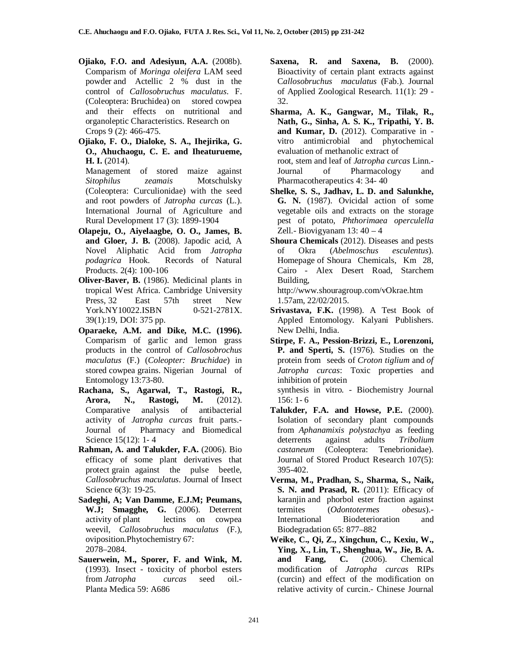- **Ojiako, F.O. and Adesiyun, A.A.** (2008b). Comparism of *Moringa oleifera* LAM seed powder and Actellic 2 % dust in the control of *Callosobruchus maculatus*. F. (Coleoptera: Bruchidea) on stored cowpea and their effects on nutritional and organoleptic Characteristics. Research on Crops 9 (2): 466-475.
- **Ojiako, F. O., Dialoke, S. A., Ihejirika, G. O., Ahuchaogu, C. E. and Iheaturueme, H. I.** (2014).

Management of stored maize against *Sitophilus zeamais* Motschulsky (Coleoptera: Curculionidae) with the seed and root powders of *Jatropha curcas* (L.). International Journal of Agriculture and Rural Development 17 (3): 1899-1904

- **Olapeju, O., Aiyelaagbe, O. O., James, B. and Gloer, J. B.** (2008). Japodic acid, A Novel Aliphatic Acid from *Jatropha podagrica* Hook. Records of Natural Products. 2(4): 100-106
- **Oliver-Baver, B.** (1986). Medicinal plants in tropical West Africa. Cambridge University Press, 32 East 57th street New York.NY10022.ISBN 0-521-2781X. 39(1):19, DOI: 375 pp.
- **Oparaeke, A.M. and Dike, M.C. (1996).** Comparism of garlic and lemon grass products in the control of *Callosobrochus maculatus* (F.) (*Coleopter: Bruchidae*) in stored cowpea grains. Nigerian Journal of Entomology 13:73-80.
- **Rachana, S., Agarwal, T., Rastogi, R., Arora, N., Rastogi, M.** (2012). Comparative analysis of antibacterial activity of *Jatropha curcas* fruit parts.- Journal of Pharmacy and Biomedical Science 15(12): 1- 4
- **Rahman, A. and Talukder, F.A.** (2006). Bio efficacy of some plant derivatives that protect grain against the pulse beetle, *Callosobruchus maculatus*. Journal of Insect Science 6(3): 19-25.
- **Sadeghi, A; Van Damme, E.J.M; Peumans, W.J; Smagghe, G.** (2006). Deterrent activity of plant lectins on cowpea weevil, *Callosobruchus maculatus* (F.), oviposition.Phytochemistry 67: 2078–2084.
- **Sauerwein, M., Sporer, F. and Wink, M.** (1993). Insect - toxicity of phorbol esters from *Jatropha curcas* seed oil.- Planta Medica 59: A686
- **Saxena, R. and Saxena, B.** (2000). Bioactivity of certain plant extracts against C*allosobruchus maculatus* (Fab.). Journal of Applied Zoological Research. 11(1): 29 - 32.
- **Sharma, A. K., Gangwar, M., Tilak, R., Nath, G., Sinha, A. S. K., Tripathi, Y. B. and Kumar, D.** (2012). Comparative in vitro antimicrobial and phytochemical evaluation of methanolic extract of root, stem and leaf of *Jatropha curcas* Linn. of Pharmacology and Pharmacotherapeutics 4: 34- 40
- **Shelke, S. S., Jadhav, L. D. and Salunkhe, G. N.** (1987). Ovicidal action of some vegetable oils and extracts on the storage pest of potato, *Phthorimaea operculella* Zell.- Biovigyanam  $13: 40 - 4$
- **Shoura Chemicals** (2012). Diseases and pests of Okra (*Abelmoschus esculentus*). Homepage of Shoura Chemicals, Km 28, Cairo - Alex Desert Road, Starchem Building,

http://www.shouragroup.com/vOkrae.htm 1.57am, 22/02/2015.

- **Srivastava, F.K.** (1998). A Test Book of Appled Entomology. Kalyani Publishers. New Delhi, India.
- **Stirpe, F. A., Pession-Brizzi, E., Lorenzoni, P. and Sperti, S.** (1976). Studies on the protein from seeds of *Croton tiglium* and *of Jatropha curcas*: Toxic properties and inhibition of protein

synthesis in vitro. - Biochemistry Journal 156: 1- 6

- **Talukder, F.A. and Howse, P.E.** (2000). Isolation of secondary plant compounds from *Aphanamixis polystachya* as feeding deterrents against adults *Tribolium castaneum* (Coleoptera: Tenebrionidae). Journal of Stored Product Research 107(5): 395-402.
- **Verma, M., Pradhan, S., Sharma, S., Naik, S. N. and Prasad, R.** (2011): Efficacy of karanjin and phorbol ester fraction against termites (*Odontotermes obesus*).- International Biodeterioration and Biodegradation 65: 877–882
- **Weike, C., Qi, Z., Xingchun, C., Kexiu, W., Ying, X., Lin, T., Shenghua, W., Jie, B. A. and Fang, C.** (2006). Chemical modification of *Jatropha curcas* RIPs (curcin) and effect of the modification on relative activity of curcin.- Chinese Journal